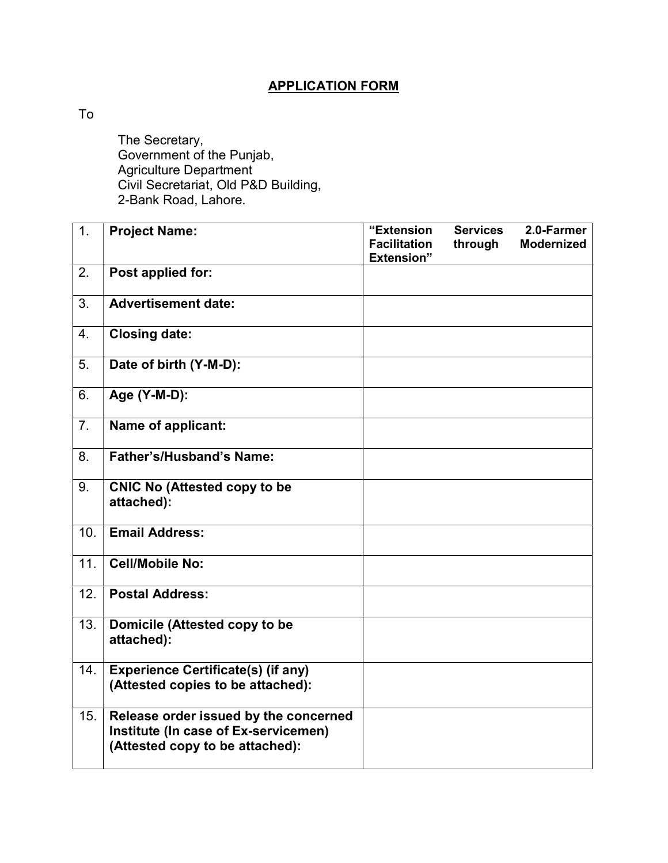## APPLICATION FORM

To

 The Secretary, Government of the Punjab, Agriculture Department Civil Secretariat, Old P&D Building, 2-Bank Road, Lahore.

| 1.  | <b>Project Name:</b>                                                                                             | "Extension<br><b>Facilitation</b><br><b>Extension</b> " | <b>Services</b><br>through | 2.0-Farmer<br><b>Modernized</b> |
|-----|------------------------------------------------------------------------------------------------------------------|---------------------------------------------------------|----------------------------|---------------------------------|
| 2.  | Post applied for:                                                                                                |                                                         |                            |                                 |
| 3.  | <b>Advertisement date:</b>                                                                                       |                                                         |                            |                                 |
| 4.  | <b>Closing date:</b>                                                                                             |                                                         |                            |                                 |
| 5.  | Date of birth (Y-M-D):                                                                                           |                                                         |                            |                                 |
| 6.  | Age (Y-M-D):                                                                                                     |                                                         |                            |                                 |
| 7.  | Name of applicant:                                                                                               |                                                         |                            |                                 |
| 8.  | <b>Father's/Husband's Name:</b>                                                                                  |                                                         |                            |                                 |
| 9.  | <b>CNIC No (Attested copy to be</b><br>attached):                                                                |                                                         |                            |                                 |
| 10. | <b>Email Address:</b>                                                                                            |                                                         |                            |                                 |
| 11. | <b>Cell/Mobile No:</b>                                                                                           |                                                         |                            |                                 |
| 12. | <b>Postal Address:</b>                                                                                           |                                                         |                            |                                 |
| 13. | Domicile (Attested copy to be<br>attached):                                                                      |                                                         |                            |                                 |
| 14. | <b>Experience Certificate(s) (if any)</b><br>(Attested copies to be attached):                                   |                                                         |                            |                                 |
| 15. | Release order issued by the concerned<br>Institute (In case of Ex-servicemen)<br>(Attested copy to be attached): |                                                         |                            |                                 |